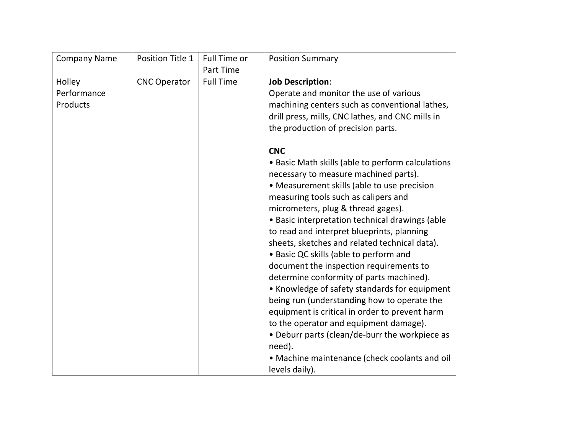| <b>Company Name</b> | Position Title 1    | Full Time or     | <b>Position Summary</b>                           |
|---------------------|---------------------|------------------|---------------------------------------------------|
|                     |                     | Part Time        |                                                   |
| Holley              | <b>CNC Operator</b> | <b>Full Time</b> | <b>Job Description:</b>                           |
| Performance         |                     |                  | Operate and monitor the use of various            |
| Products            |                     |                  | machining centers such as conventional lathes,    |
|                     |                     |                  | drill press, mills, CNC lathes, and CNC mills in  |
|                     |                     |                  | the production of precision parts.                |
|                     |                     |                  | <b>CNC</b>                                        |
|                     |                     |                  | • Basic Math skills (able to perform calculations |
|                     |                     |                  | necessary to measure machined parts).             |
|                     |                     |                  | • Measurement skills (able to use precision       |
|                     |                     |                  | measuring tools such as calipers and              |
|                     |                     |                  | micrometers, plug & thread gages).                |
|                     |                     |                  | • Basic interpretation technical drawings (able   |
|                     |                     |                  | to read and interpret blueprints, planning        |
|                     |                     |                  | sheets, sketches and related technical data).     |
|                     |                     |                  | • Basic QC skills (able to perform and            |
|                     |                     |                  | document the inspection requirements to           |
|                     |                     |                  | determine conformity of parts machined).          |
|                     |                     |                  | • Knowledge of safety standards for equipment     |
|                     |                     |                  | being run (understanding how to operate the       |
|                     |                     |                  | equipment is critical in order to prevent harm    |
|                     |                     |                  | to the operator and equipment damage).            |
|                     |                     |                  | • Deburr parts (clean/de-burr the workpiece as    |
|                     |                     |                  | need).                                            |
|                     |                     |                  | • Machine maintenance (check coolants and oil     |
|                     |                     |                  | levels daily).                                    |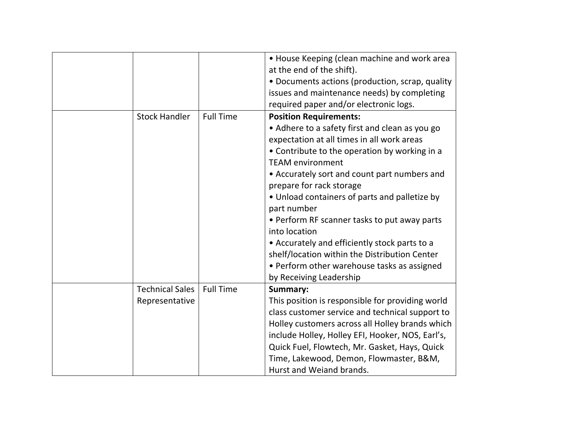|                        |                  | • House Keeping (clean machine and work area<br>at the end of the shift). |
|------------------------|------------------|---------------------------------------------------------------------------|
|                        |                  | • Documents actions (production, scrap, quality                           |
|                        |                  |                                                                           |
|                        |                  | issues and maintenance needs) by completing                               |
|                        |                  | required paper and/or electronic logs.                                    |
| <b>Stock Handler</b>   | <b>Full Time</b> | <b>Position Requirements:</b>                                             |
|                        |                  | • Adhere to a safety first and clean as you go                            |
|                        |                  | expectation at all times in all work areas                                |
|                        |                  | • Contribute to the operation by working in a                             |
|                        |                  | <b>TEAM environment</b>                                                   |
|                        |                  | • Accurately sort and count part numbers and                              |
|                        |                  | prepare for rack storage                                                  |
|                        |                  | • Unload containers of parts and palletize by                             |
|                        |                  | part number                                                               |
|                        |                  | • Perform RF scanner tasks to put away parts                              |
|                        |                  | into location                                                             |
|                        |                  | • Accurately and efficiently stock parts to a                             |
|                        |                  | shelf/location within the Distribution Center                             |
|                        |                  | • Perform other warehouse tasks as assigned                               |
|                        |                  | by Receiving Leadership                                                   |
| <b>Technical Sales</b> | <b>Full Time</b> | Summary:                                                                  |
|                        |                  |                                                                           |
| Representative         |                  | This position is responsible for providing world                          |
|                        |                  | class customer service and technical support to                           |
|                        |                  | Holley customers across all Holley brands which                           |
|                        |                  | include Holley, Holley EFI, Hooker, NOS, Earl's,                          |
|                        |                  | Quick Fuel, Flowtech, Mr. Gasket, Hays, Quick                             |
|                        |                  | Time, Lakewood, Demon, Flowmaster, B&M,                                   |
|                        |                  | Hurst and Weiand brands.                                                  |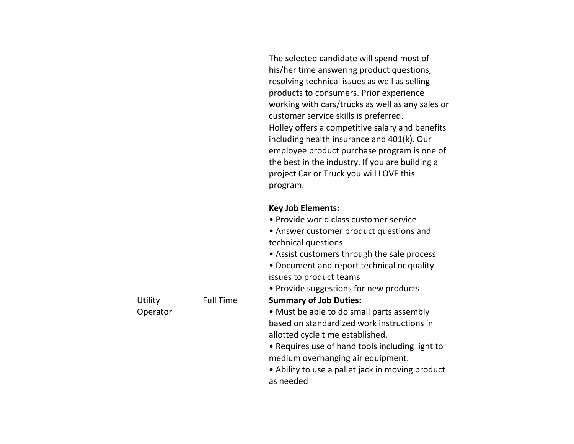|          |                  | The selected candidate will spend most of        |
|----------|------------------|--------------------------------------------------|
|          |                  | his/her time answering product questions,        |
|          |                  | resolving technical issues as well as selling    |
|          |                  | products to consumers. Prior experience          |
|          |                  | working with cars/trucks as well as any sales or |
|          |                  | customer service skills is preferred.            |
|          |                  | Holley offers a competitive salary and benefits  |
|          |                  | including health insurance and 401(k). Our       |
|          |                  | employee product purchase program is one of      |
|          |                  | the best in the industry. If you are building a  |
|          |                  | project Car or Truck you will LOVE this          |
|          |                  | program.                                         |
|          |                  |                                                  |
|          |                  | <b>Key Job Elements:</b>                         |
|          |                  | • Provide world class customer service           |
|          |                  | • Answer customer product questions and          |
|          |                  | technical questions                              |
|          |                  | • Assist customers through the sale process      |
|          |                  | • Document and report technical or quality       |
|          |                  | issues to product teams                          |
|          |                  | • Provide suggestions for new products           |
| Utility  | <b>Full Time</b> | <b>Summary of Job Duties:</b>                    |
| Operator |                  | • Must be able to do small parts assembly        |
|          |                  | based on standardized work instructions in       |
|          |                  | allotted cycle time established.                 |
|          |                  | • Requires use of hand tools including light to  |
|          |                  | medium overhanging air equipment.                |
|          |                  | • Ability to use a pallet jack in moving product |
|          |                  | as needed                                        |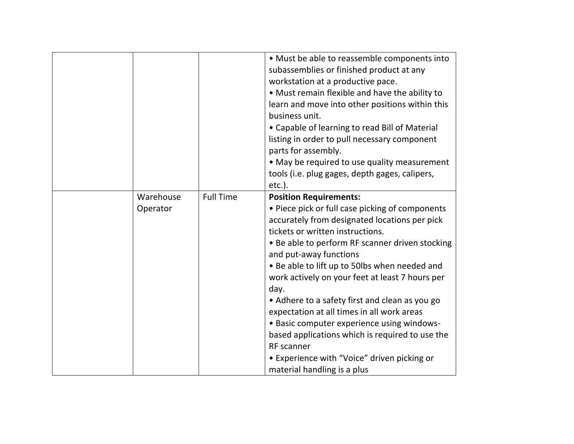|           |                  | • Must be able to reassemble components into<br>subassemblies or finished product at any<br>workstation at a productive pace.<br>• Must remain flexible and have the ability to<br>learn and move into other positions within this<br>business unit.<br>• Capable of learning to read Bill of Material<br>listing in order to pull necessary component<br>parts for assembly.<br>• May be required to use quality measurement<br>tools (i.e. plug gages, depth gages, calipers,<br>etc.).                                                                                                                                         |
|-----------|------------------|-----------------------------------------------------------------------------------------------------------------------------------------------------------------------------------------------------------------------------------------------------------------------------------------------------------------------------------------------------------------------------------------------------------------------------------------------------------------------------------------------------------------------------------------------------------------------------------------------------------------------------------|
| Warehouse | <b>Full Time</b> | <b>Position Requirements:</b>                                                                                                                                                                                                                                                                                                                                                                                                                                                                                                                                                                                                     |
| Operator  |                  | • Piece pick or full case picking of components<br>accurately from designated locations per pick<br>tickets or written instructions.<br>• Be able to perform RF scanner driven stocking<br>and put-away functions<br>• Be able to lift up to 50lbs when needed and<br>work actively on your feet at least 7 hours per<br>day.<br>• Adhere to a safety first and clean as you go<br>expectation at all times in all work areas<br>• Basic computer experience using windows-<br>based applications which is required to use the<br><b>RF</b> scanner<br>• Experience with "Voice" driven picking or<br>material handling is a plus |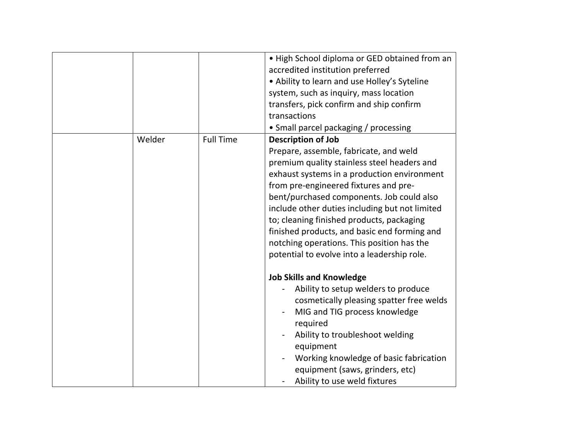|        |                  | • High School diploma or GED obtained from an<br>accredited institution preferred<br>• Ability to learn and use Holley's Syteline<br>system, such as inquiry, mass location<br>transfers, pick confirm and ship confirm<br>transactions<br>• Small parcel packaging / processing                                                                                                                                                                                                                    |
|--------|------------------|-----------------------------------------------------------------------------------------------------------------------------------------------------------------------------------------------------------------------------------------------------------------------------------------------------------------------------------------------------------------------------------------------------------------------------------------------------------------------------------------------------|
| Welder | <b>Full Time</b> | <b>Description of Job</b><br>Prepare, assemble, fabricate, and weld<br>premium quality stainless steel headers and<br>exhaust systems in a production environment<br>from pre-engineered fixtures and pre-<br>bent/purchased components. Job could also<br>include other duties including but not limited<br>to; cleaning finished products, packaging<br>finished products, and basic end forming and<br>notching operations. This position has the<br>potential to evolve into a leadership role. |
|        |                  | <b>Job Skills and Knowledge</b><br>Ability to setup welders to produce<br>cosmetically pleasing spatter free welds<br>MIG and TIG process knowledge<br>required<br>Ability to troubleshoot welding<br>equipment<br>Working knowledge of basic fabrication<br>equipment (saws, grinders, etc)<br>Ability to use weld fixtures                                                                                                                                                                        |